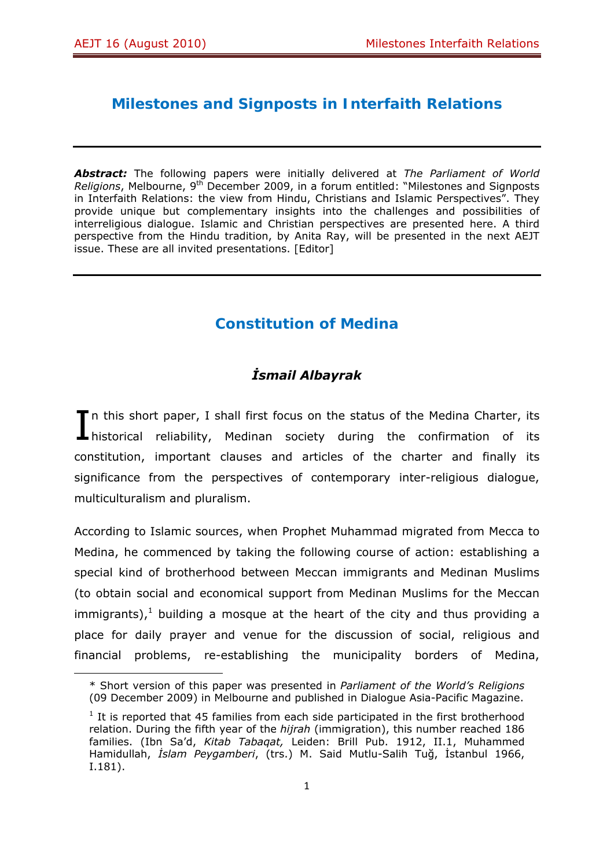# **Milestones and Signposts in Interfaith Relations**

*Abstract:* The following papers were initially delivered at *The Parliament of World Religions*, Melbourne, 9th December 2009, in a forum entitled: "Milestones and Signposts in Interfaith Relations: the view from Hindu, Christians and Islamic Perspectives". They provide unique but complementary insights into the challenges and possibilities of interreligious dialogue. Islamic and Christian perspectives are presented here. A third perspective from the Hindu tradition, by Anita Ray, will be presented in the next AEJT issue. These are all invited presentations. [Editor]

# **Constitution of Medina**

## *İsmail Albayrak*

In this short paper, I shall first focus on the status of the Medina Charter, its In this short paper, I shall first focus on the status of the Medina Charter, its historical reliability, Medinan society during the confirmation of its constitution, important clauses and articles of the charter and finally its significance from the perspectives of contemporary inter-religious dialogue, multiculturalism and pluralism.

According to Islamic sources, when Prophet Muhammad migrated from Mecca to Medina, he commenced by taking the following course of action: establishing a special kind of brotherhood between Meccan immigrants and Medinan Muslims (to obtain social and economical support from Medinan Muslims for the Meccan immigrants), $<sup>1</sup>$  building a mosque at the heart of the city and thus providing a</sup> place for daily prayer and venue for the discussion of social, religious and financial problems, re-establishing the municipality borders of Medina,

<sup>\*</sup> Short version of this paper was presented in *Parliament of the World's Religions*  (09 December 2009) in Melbourne and published in Dialogue Asia-Pacific Magazine.

 $1$  It is reported that 45 families from each side participated in the first brotherhood relation. During the fifth year of the *hijrah* (immigration), this number reached 186 families. (Ibn Sa'd, *Kitab Tabaqat,* Leiden: Brill Pub. 1912, II.1, Muhammed Hamidullah, *İslam Peygamberi*, (trs.) M. Said Mutlu-Salih Tuğ, İstanbul 1966, I.181).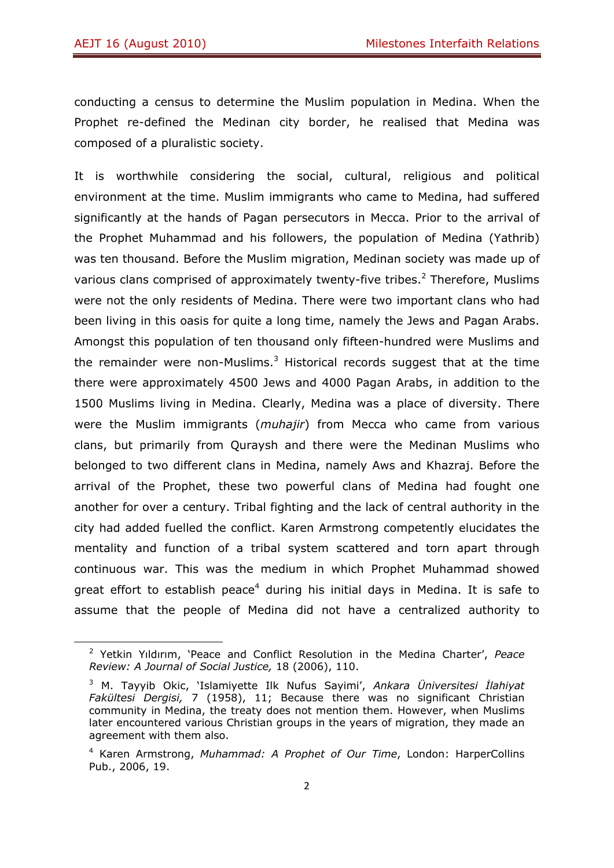conducting a census to determine the Muslim population in Medina. When the Prophet re-defined the Medinan city border, he realised that Medina was composed of a pluralistic society.

It is worthwhile considering the social, cultural, religious and political environment at the time. Muslim immigrants who came to Medina, had suffered significantly at the hands of Pagan persecutors in Mecca. Prior to the arrival of the Prophet Muhammad and his followers, the population of Medina (Yathrib) was ten thousand. Before the Muslim migration, Medinan society was made up of various clans comprised of approximately twenty-five tribes. $<sup>2</sup>$  Therefore, Muslims</sup> were not the only residents of Medina. There were two important clans who had been living in this oasis for quite a long time, namely the Jews and Pagan Arabs. Amongst this population of ten thousand only fifteen-hundred were Muslims and the remainder were non-Muslims. $3$  Historical records suggest that at the time there were approximately 4500 Jews and 4000 Pagan Arabs, in addition to the 1500 Muslims living in Medina. Clearly, Medina was a place of diversity. There were the Muslim immigrants (*muhajir*) from Mecca who came from various clans, but primarily from Quraysh and there were the Medinan Muslims who belonged to two different clans in Medina, namely Aws and Khazraj. Before the arrival of the Prophet, these two powerful clans of Medina had fought one another for over a century. Tribal fighting and the lack of central authority in the city had added fuelled the conflict. Karen Armstrong competently elucidates the mentality and function of a tribal system scattered and torn apart through continuous war. This was the medium in which Prophet Muhammad showed great effort to establish peace<sup>4</sup> during his initial days in Medina. It is safe to assume that the people of Medina did not have a centralized authority to

<sup>2</sup> Yetkin Yıldırım, 'Peace and Conflict Resolution in the Medina Charter', *Peace Review: A Journal of Social Justice,* 18 (2006), 110.

<sup>3</sup> M. Tayyib Okic, 'Islamiyette Ilk Nufus Sayimi', *Ankara Üniversitesi İlahiyat Fakültesi Dergisi,* 7 (1958), 11; Because there was no significant Christian community in Medina, the treaty does not mention them. However, when Muslims later encountered various Christian groups in the years of migration, they made an agreement with them also.

<sup>4</sup> Karen Armstrong, *Muhammad: A Prophet of Our Time*, London: HarperCollins Pub., 2006, 19.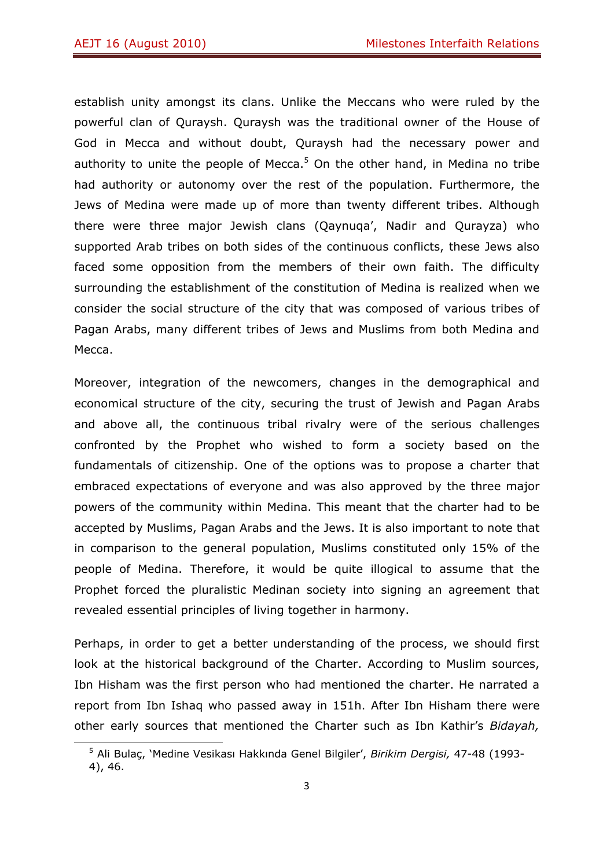establish unity amongst its clans. Unlike the Meccans who were ruled by the powerful clan of Quraysh. Quraysh was the traditional owner of the House of God in Mecca and without doubt, Quraysh had the necessary power and authority to unite the people of Mecca. $5$  On the other hand, in Medina no tribe had authority or autonomy over the rest of the population. Furthermore, the Jews of Medina were made up of more than twenty different tribes. Although there were three major Jewish clans (Qaynuqa', Nadir and Qurayza) who supported Arab tribes on both sides of the continuous conflicts, these Jews also faced some opposition from the members of their own faith. The difficulty surrounding the establishment of the constitution of Medina is realized when we consider the social structure of the city that was composed of various tribes of Pagan Arabs, many different tribes of Jews and Muslims from both Medina and Mecca.

Moreover, integration of the newcomers, changes in the demographical and economical structure of the city, securing the trust of Jewish and Pagan Arabs and above all, the continuous tribal rivalry were of the serious challenges confronted by the Prophet who wished to form a society based on the fundamentals of citizenship. One of the options was to propose a charter that embraced expectations of everyone and was also approved by the three major powers of the community within Medina. This meant that the charter had to be accepted by Muslims, Pagan Arabs and the Jews. It is also important to note that in comparison to the general population, Muslims constituted only 15% of the people of Medina. Therefore, it would be quite illogical to assume that the Prophet forced the pluralistic Medinan society into signing an agreement that revealed essential principles of living together in harmony.

Perhaps, in order to get a better understanding of the process, we should first look at the historical background of the Charter. According to Muslim sources, Ibn Hisham was the first person who had mentioned the charter. He narrated a report from Ibn Ishaq who passed away in 151h. After Ibn Hisham there were other early sources that mentioned the Charter such as Ibn Kathir's *Bidayah,* 

<sup>5</sup> Ali Bulaç, 'Medine Vesikası Hakkında Genel Bilgiler', *Birikim Dergisi,* 47-48 (1993- 4), 46.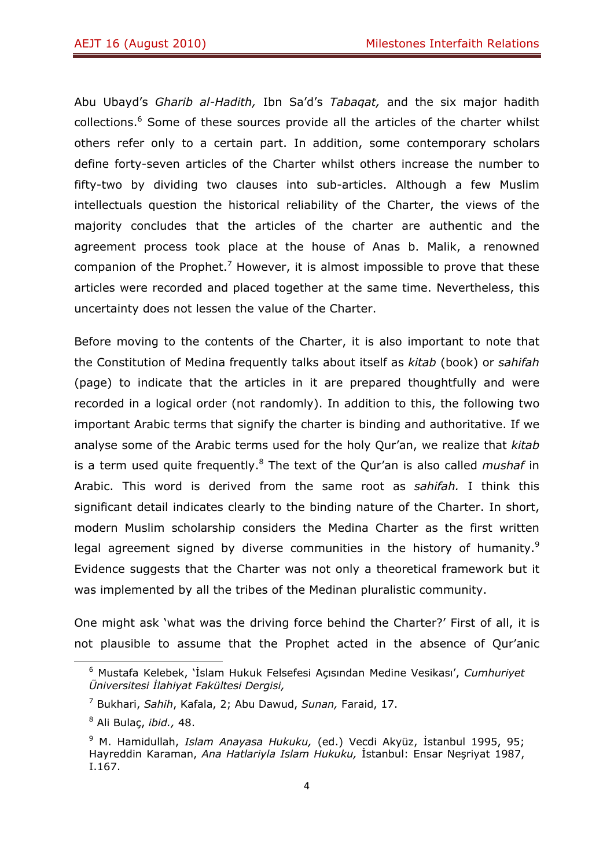Abu Ubayd's *Gharib al-Hadith,* Ibn Sa'd's *Tabaqat,* and the six major hadith collections.<sup>6</sup> Some of these sources provide all the articles of the charter whilst others refer only to a certain part. In addition, some contemporary scholars define forty-seven articles of the Charter whilst others increase the number to fifty-two by dividing two clauses into sub-articles. Although a few Muslim intellectuals question the historical reliability of the Charter, the views of the majority concludes that the articles of the charter are authentic and the agreement process took place at the house of Anas b. Malik, a renowned companion of the Prophet.<sup>7</sup> However, it is almost impossible to prove that these articles were recorded and placed together at the same time. Nevertheless, this uncertainty does not lessen the value of the Charter.

Before moving to the contents of the Charter, it is also important to note that the Constitution of Medina frequently talks about itself as *kitab* (book) or *sahifah*  (page) to indicate that the articles in it are prepared thoughtfully and were recorded in a logical order (not randomly). In addition to this, the following two important Arabic terms that signify the charter is binding and authoritative. If we analyse some of the Arabic terms used for the holy Qur'an, we realize that *kitab*  is a term used quite frequently.<sup>8</sup> The text of the Qur'an is also called *mushaf* in Arabic. This word is derived from the same root as *sahifah.* I think this significant detail indicates clearly to the binding nature of the Charter. In short, modern Muslim scholarship considers the Medina Charter as the first written legal agreement signed by diverse communities in the history of humanity.<sup>9</sup> Evidence suggests that the Charter was not only a theoretical framework but it was implemented by all the tribes of the Medinan pluralistic community.

One might ask 'what was the driving force behind the Charter?' First of all, it is not plausible to assume that the Prophet acted in the absence of Qur'anic

<sup>6</sup> Mustafa Kelebek, 'İslam Hukuk Felsefesi Açısından Medine Vesikası', *Cumhuriyet Üniversitesi İlahiyat Fakültesi Dergisi,* 

<sup>7</sup> Bukhari, *Sahih*, Kafala, 2; Abu Dawud, *Sunan,* Faraid, 17.

<sup>8</sup> Ali Bulaç, *ibid.,* 48.

<sup>9</sup> M. Hamidullah, *Islam Anayasa Hukuku,* (ed.) Vecdi Akyüz, İstanbul 1995, 95; Hayreddin Karaman, *Ana Hatlariyla Islam Hukuku,* İstanbul: Ensar Neşriyat 1987, I.167.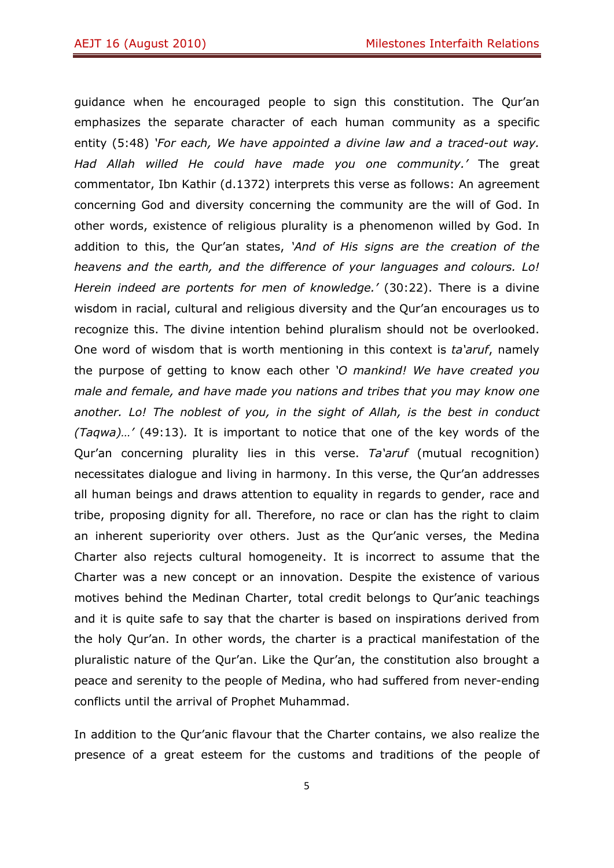guidance when he encouraged people to sign this constitution. The Qur'an emphasizes the separate character of each human community as a specific entity (5:48) *'For each, We have appointed a divine law and a traced-out way. Had Allah willed He could have made you one community.'* The great commentator, Ibn Kathir (d.1372) interprets this verse as follows: An agreement concerning God and diversity concerning the community are the will of God. In other words, existence of religious plurality is a phenomenon willed by God. In addition to this, the Qur'an states, *'And of His signs are the creation of the heavens and the earth, and the difference of your languages and colours. Lo! Herein indeed are portents for men of knowledge.'* (30:22). There is a divine wisdom in racial, cultural and religious diversity and the Qur'an encourages us to recognize this. The divine intention behind pluralism should not be overlooked. One word of wisdom that is worth mentioning in this context is *ta'aruf*, namely the purpose of getting to know each other *'O mankind! We have created you male and female, and have made you nations and tribes that you may know one another. Lo! The noblest of you, in the sight of Allah, is the best in conduct (Taqwa)…'* (49:13)*.* It is important to notice that one of the key words of the Qur'an concerning plurality lies in this verse. *Ta'aruf* (mutual recognition) necessitates dialogue and living in harmony. In this verse, the Qur'an addresses all human beings and draws attention to equality in regards to gender, race and tribe, proposing dignity for all. Therefore, no race or clan has the right to claim an inherent superiority over others. Just as the Qur'anic verses, the Medina Charter also rejects cultural homogeneity. It is incorrect to assume that the Charter was a new concept or an innovation. Despite the existence of various motives behind the Medinan Charter, total credit belongs to Qur'anic teachings and it is quite safe to say that the charter is based on inspirations derived from the holy Qur'an. In other words, the charter is a practical manifestation of the pluralistic nature of the Qur'an. Like the Qur'an, the constitution also brought a peace and serenity to the people of Medina, who had suffered from never-ending conflicts until the arrival of Prophet Muhammad.

In addition to the Qur'anic flavour that the Charter contains, we also realize the presence of a great esteem for the customs and traditions of the people of

5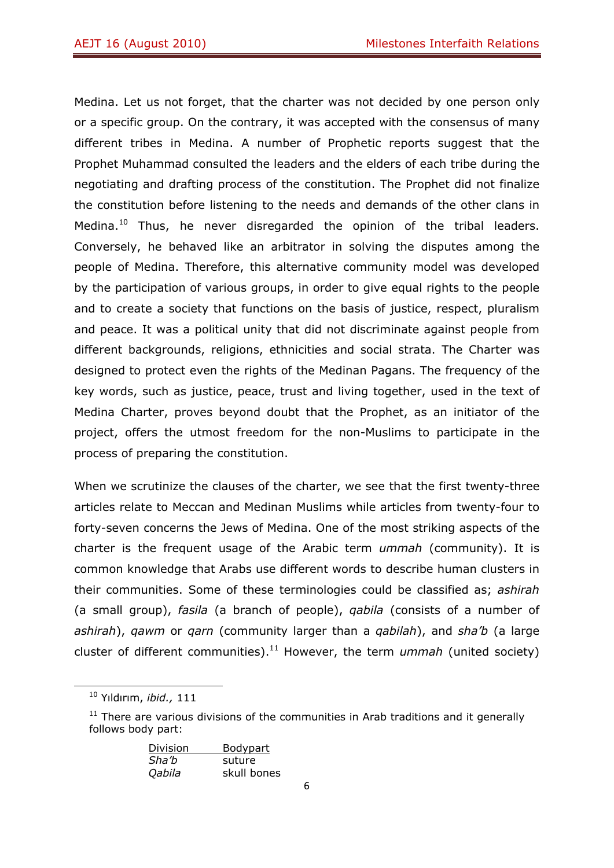Medina. Let us not forget, that the charter was not decided by one person only or a specific group. On the contrary, it was accepted with the consensus of many different tribes in Medina. A number of Prophetic reports suggest that the Prophet Muhammad consulted the leaders and the elders of each tribe during the negotiating and drafting process of the constitution. The Prophet did not finalize the constitution before listening to the needs and demands of the other clans in Medina.<sup>10</sup> Thus, he never disregarded the opinion of the tribal leaders. Conversely, he behaved like an arbitrator in solving the disputes among the people of Medina. Therefore, this alternative community model was developed by the participation of various groups, in order to give equal rights to the people and to create a society that functions on the basis of justice, respect, pluralism and peace. It was a political unity that did not discriminate against people from different backgrounds, religions, ethnicities and social strata. The Charter was designed to protect even the rights of the Medinan Pagans. The frequency of the key words, such as justice, peace, trust and living together, used in the text of Medina Charter, proves beyond doubt that the Prophet, as an initiator of the project, offers the utmost freedom for the non-Muslims to participate in the process of preparing the constitution.

When we scrutinize the clauses of the charter, we see that the first twenty-three articles relate to Meccan and Medinan Muslims while articles from twenty-four to forty-seven concerns the Jews of Medina. One of the most striking aspects of the charter is the frequent usage of the Arabic term *ummah* (community). It is common knowledge that Arabs use different words to describe human clusters in their communities. Some of these terminologies could be classified as; *ashirah*  (a small group), *fasila* (a branch of people), *qabila* (consists of a number of *ashirah*), *qawm* or *qarn* (community larger than a *qabilah*), and *sha'b* (a large cluster of different communities).11 However, the term *ummah* (united society)

 $11$  There are various divisions of the communities in Arab traditions and it generally follows body part:

| Division | Bodypart    |
|----------|-------------|
| Sha'b    | suture      |
| Qabila   | skull bones |

 10 Yıldırım, *ibid.,* 111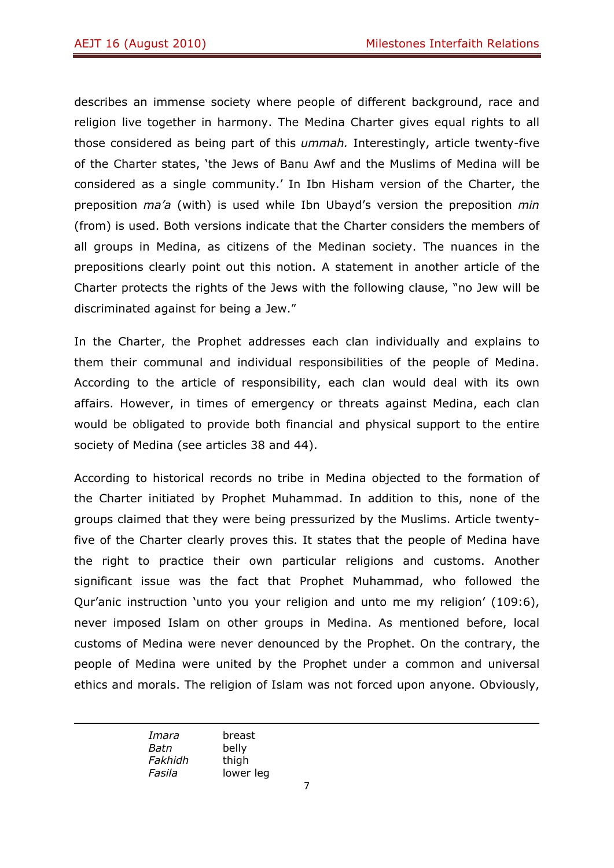describes an immense society where people of different background, race and religion live together in harmony. The Medina Charter gives equal rights to all those considered as being part of this *ummah.* Interestingly, article twenty-five of the Charter states, 'the Jews of Banu Awf and the Muslims of Medina will be considered as a single community.' In Ibn Hisham version of the Charter, the preposition *ma'a* (with) is used while Ibn Ubayd's version the preposition *min*  (from) is used. Both versions indicate that the Charter considers the members of all groups in Medina, as citizens of the Medinan society. The nuances in the prepositions clearly point out this notion. A statement in another article of the Charter protects the rights of the Jews with the following clause, "no Jew will be discriminated against for being a Jew."

In the Charter, the Prophet addresses each clan individually and explains to them their communal and individual responsibilities of the people of Medina. According to the article of responsibility, each clan would deal with its own affairs. However, in times of emergency or threats against Medina, each clan would be obligated to provide both financial and physical support to the entire society of Medina (see articles 38 and 44).

According to historical records no tribe in Medina objected to the formation of the Charter initiated by Prophet Muhammad. In addition to this, none of the groups claimed that they were being pressurized by the Muslims. Article twentyfive of the Charter clearly proves this. It states that the people of Medina have the right to practice their own particular religions and customs. Another significant issue was the fact that Prophet Muhammad, who followed the Qur'anic instruction 'unto you your religion and unto me my religion' (109:6), never imposed Islam on other groups in Medina. As mentioned before, local customs of Medina were never denounced by the Prophet. On the contrary, the people of Medina were united by the Prophet under a common and universal ethics and morals. The religion of Islam was not forced upon anyone. Obviously,

<u> Andreas Andreas Andreas Andreas Andreas Andreas Andreas Andreas Andreas Andreas Andreas Andreas Andreas Andr</u> *Imara* breast *Batn* belly *Fakhidh* thigh *Fasila* lower leg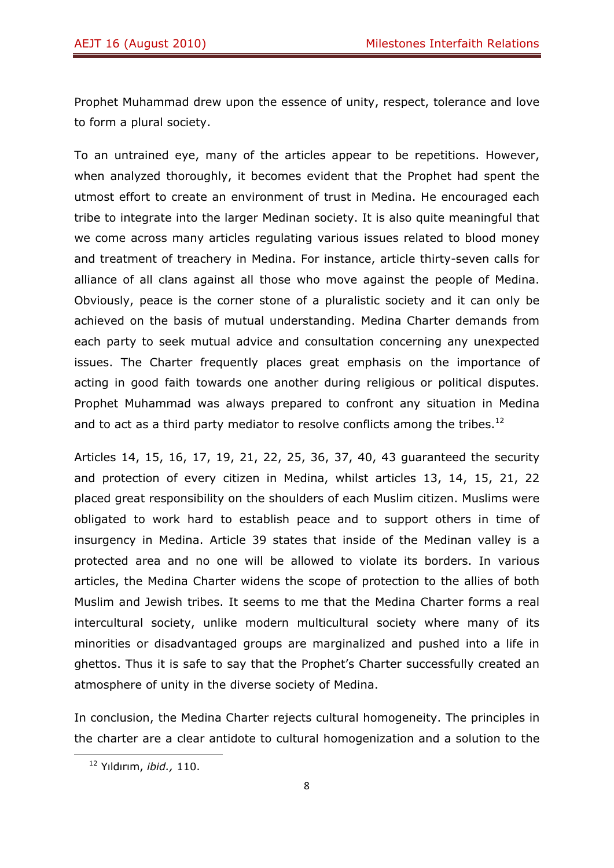Prophet Muhammad drew upon the essence of unity, respect, tolerance and love to form a plural society.

To an untrained eye, many of the articles appear to be repetitions. However, when analyzed thoroughly, it becomes evident that the Prophet had spent the utmost effort to create an environment of trust in Medina. He encouraged each tribe to integrate into the larger Medinan society. It is also quite meaningful that we come across many articles regulating various issues related to blood money and treatment of treachery in Medina. For instance, article thirty-seven calls for alliance of all clans against all those who move against the people of Medina. Obviously, peace is the corner stone of a pluralistic society and it can only be achieved on the basis of mutual understanding. Medina Charter demands from each party to seek mutual advice and consultation concerning any unexpected issues. The Charter frequently places great emphasis on the importance of acting in good faith towards one another during religious or political disputes. Prophet Muhammad was always prepared to confront any situation in Medina and to act as a third party mediator to resolve conflicts among the tribes.<sup>12</sup>

Articles 14, 15, 16, 17, 19, 21, 22, 25, 36, 37, 40, 43 guaranteed the security and protection of every citizen in Medina, whilst articles 13, 14, 15, 21, 22 placed great responsibility on the shoulders of each Muslim citizen. Muslims were obligated to work hard to establish peace and to support others in time of insurgency in Medina. Article 39 states that inside of the Medinan valley is a protected area and no one will be allowed to violate its borders. In various articles, the Medina Charter widens the scope of protection to the allies of both Muslim and Jewish tribes. It seems to me that the Medina Charter forms a real intercultural society, unlike modern multicultural society where many of its minorities or disadvantaged groups are marginalized and pushed into a life in ghettos. Thus it is safe to say that the Prophet's Charter successfully created an atmosphere of unity in the diverse society of Medina.

In conclusion, the Medina Charter rejects cultural homogeneity. The principles in the charter are a clear antidote to cultural homogenization and a solution to the

 12 Yıldırım, *ibid.,* 110.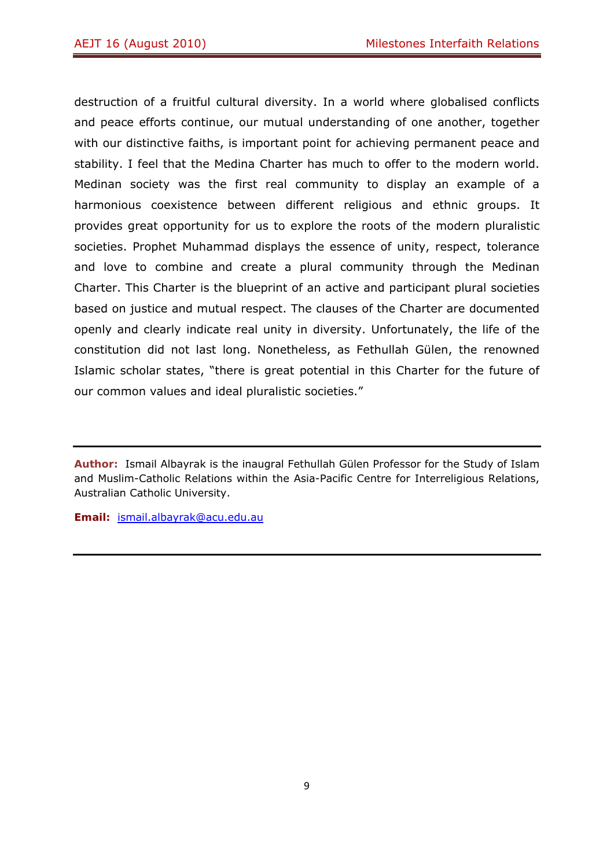destruction of a fruitful cultural diversity. In a world where globalised conflicts and peace efforts continue, our mutual understanding of one another, together with our distinctive faiths, is important point for achieving permanent peace and stability. I feel that the Medina Charter has much to offer to the modern world. Medinan society was the first real community to display an example of a harmonious coexistence between different religious and ethnic groups. It provides great opportunity for us to explore the roots of the modern pluralistic societies. Prophet Muhammad displays the essence of unity, respect, tolerance and love to combine and create a plural community through the Medinan Charter. This Charter is the blueprint of an active and participant plural societies based on justice and mutual respect. The clauses of the Charter are documented openly and clearly indicate real unity in diversity. Unfortunately, the life of the constitution did not last long. Nonetheless, as Fethullah Gülen, the renowned Islamic scholar states, "there is great potential in this Charter for the future of our common values and ideal pluralistic societies."

**Email:** ismail.albayrak@acu.edu.au

**Author:** Ismail Albayrak is the inaugral Fethullah Gülen Professor for the Study of Islam and Muslim-Catholic Relations within the Asia-Pacific Centre for Interreligious Relations, Australian Catholic University.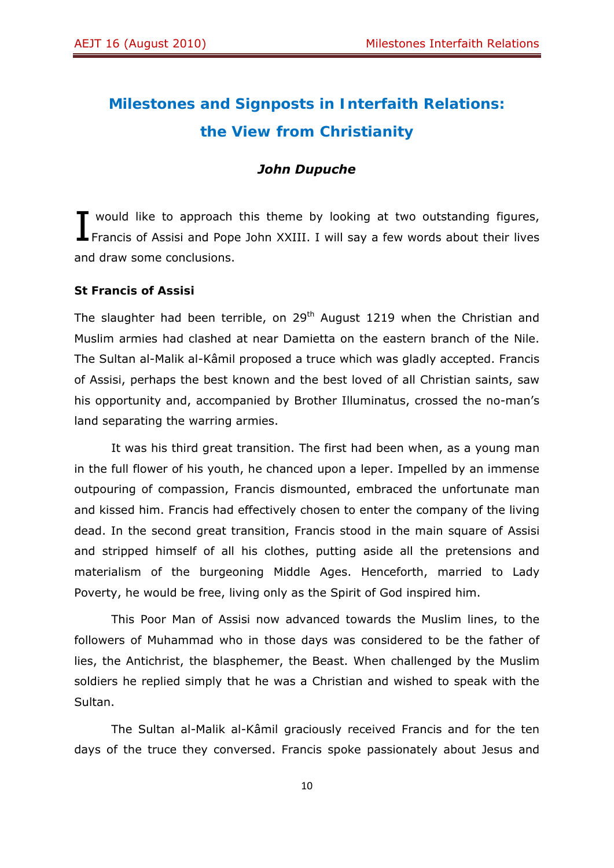# **Milestones and Signposts in Interfaith Relations: the View from Christianity**

#### *John Dupuche*

vould like to approach this theme by looking at two outstanding figures, T would like to approach this theme by looking at two outstanding figures,<br>Francis of Assisi and Pope John XXIII. I will say a few words about their lives and draw some conclusions.

#### **St Francis of Assisi**

The slaughter had been terrible, on 29<sup>th</sup> August 1219 when the Christian and Muslim armies had clashed at near Damietta on the eastern branch of the Nile. The Sultan al-Malik al-Kâmil proposed a truce which was gladly accepted. Francis of Assisi, perhaps the best known and the best loved of all Christian saints, saw his opportunity and, accompanied by Brother Illuminatus, crossed the no-man's land separating the warring armies.

It was his third great transition. The first had been when, as a young man in the full flower of his youth, he chanced upon a leper. Impelled by an immense outpouring of compassion, Francis dismounted, embraced the unfortunate man and kissed him. Francis had effectively chosen to enter the company of the living dead. In the second great transition, Francis stood in the main square of Assisi and stripped himself of all his clothes, putting aside all the pretensions and materialism of the burgeoning Middle Ages. Henceforth, married to Lady Poverty, he would be free, living only as the Spirit of God inspired him.

This Poor Man of Assisi now advanced towards the Muslim lines, to the followers of Muhammad who in those days was considered to be the father of lies, the Antichrist, the blasphemer, the Beast. When challenged by the Muslim soldiers he replied simply that he was a Christian and wished to speak with the Sultan.

The Sultan al-Malik al-Kâmil graciously received Francis and for the ten days of the truce they conversed. Francis spoke passionately about Jesus and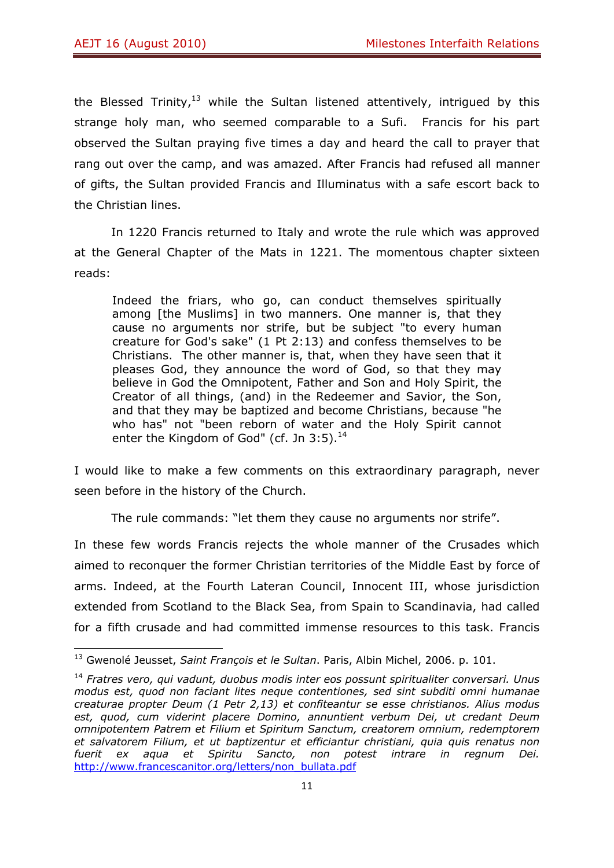the Blessed Trinity,<sup>13</sup> while the Sultan listened attentively, intrigued by this strange holy man, who seemed comparable to a Sufi. Francis for his part observed the Sultan praying five times a day and heard the call to prayer that rang out over the camp, and was amazed. After Francis had refused all manner of gifts, the Sultan provided Francis and Illuminatus with a safe escort back to the Christian lines.

In 1220 Francis returned to Italy and wrote the rule which was approved at the General Chapter of the Mats in 1221. The momentous chapter sixteen reads:

Indeed the friars, who go, can conduct themselves spiritually among [the Muslims] in two manners. One manner is, that they cause no arguments nor strife, but be subject "to every human creature for God's sake" (1 Pt 2:13) and confess themselves to be Christians. The other manner is, that, when they have seen that it pleases God, they announce the word of God, so that they may believe in God the Omnipotent, Father and Son and Holy Spirit, the Creator of all things, (and) in the Redeemer and Savior, the Son, and that they may be baptized and become Christians, because "he who has" not "been reborn of water and the Holy Spirit cannot enter the Kingdom of God" (cf. Jn  $3:5$ ).<sup>14</sup>

I would like to make a few comments on this extraordinary paragraph, never seen before in the history of the Church.

The rule commands: "let them they cause no arguments nor strife".

In these few words Francis rejects the whole manner of the Crusades which aimed to reconquer the former Christian territories of the Middle East by force of arms. Indeed, at the Fourth Lateran Council, Innocent III, whose jurisdiction extended from Scotland to the Black Sea, from Spain to Scandinavia, had called for a fifth crusade and had committed immense resources to this task. Francis

<sup>13</sup> Gwenolé Jeusset, *Saint François et le Sultan*. Paris, Albin Michel, 2006. p. 101.

<sup>14</sup> *Fratres vero, qui vadunt, duobus modis inter eos possunt spiritualiter conversari. Unus modus est, quod non faciant lites neque contentiones, sed sint subditi omni humanae creaturae propter Deum (1 Petr 2,13) et confiteantur se esse christianos. Alius modus est, quod, cum viderint placere Domino, annuntient verbum Dei, ut credant Deum omnipotentem Patrem et Filium et Spiritum Sanctum, creatorem omnium, redemptorem et salvatorem Filium, et ut baptizentur et efficiantur christiani, quia quis renatus non fuerit ex aqua et Spiritu Sancto, non potest intrare in regnum Dei.* http://www.francescanitor.org/letters/non\_bullata.pdf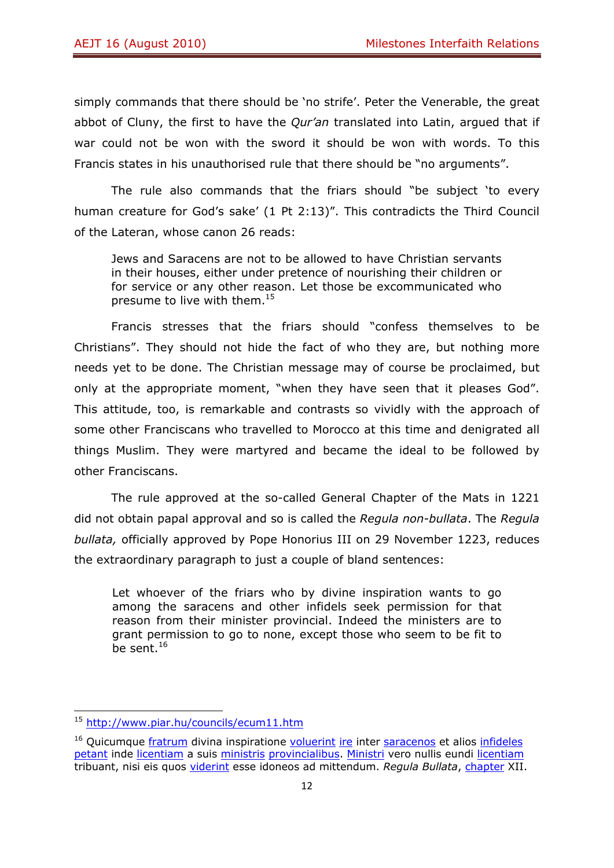simply commands that there should be 'no strife'. Peter the Venerable, the great abbot of Cluny, the first to have the *Qur'an* translated into Latin, argued that if war could not be won with the sword it should be won with words. To this Francis states in his unauthorised rule that there should be "no arguments".

The rule also commands that the friars should "be subject 'to every human creature for God's sake' (1 Pt 2:13)". This contradicts the Third Council of the Lateran, whose canon 26 reads:

Jews and Saracens are not to be allowed to have Christian servants in their houses, either under pretence of nourishing their children or for service or any other reason. Let those be excommunicated who presume to live with them.<sup>15</sup>

Francis stresses that the friars should "confess themselves to be Christians". They should not hide the fact of who they are, but nothing more needs yet to be done. The Christian message may of course be proclaimed, but only at the appropriate moment, "when they have seen that it pleases God". This attitude, too, is remarkable and contrasts so vividly with the approach of some other Franciscans who travelled to Morocco at this time and denigrated all things Muslim. They were martyred and became the ideal to be followed by other Franciscans.

The rule approved at the so-called General Chapter of the Mats in 1221 did not obtain papal approval and so is called the *Regula non-bullata*. The *Regula bullata,* officially approved by Pope Honorius III on 29 November 1223, reduces the extraordinary paragraph to just a couple of bland sentences:

Let whoever of the friars who by divine inspiration wants to go among the saracens and other infidels seek permission for that reason from their minister provincial. Indeed the ministers are to grant permission to go to none, except those who seem to be fit to be sent. $16$ 

<sup>&</sup>lt;sup>15</sup> http://www.piar.hu/councils/ecum11.htm

<sup>&</sup>lt;sup>16</sup> Quicumque *fratrum* divina inspiratione voluerint ire inter saracenos et alios infideles petant inde licentiam a suis ministris provincialibus. Ministri vero nullis eundi licentiam tribuant, nisi eis quos viderint esse idoneos ad mittendum. *Regula Bullata*, chapter XII.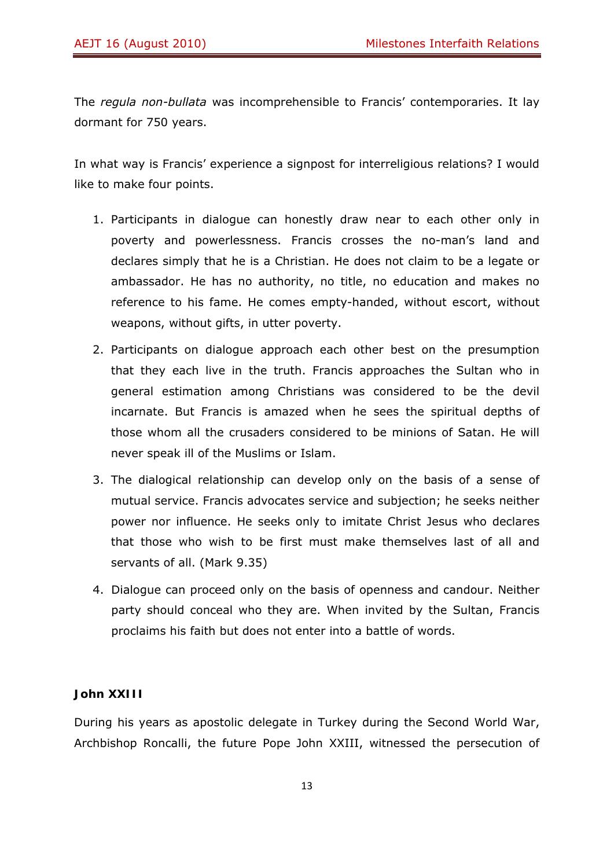The *regula non-bullata* was incomprehensible to Francis' contemporaries. It lay dormant for 750 years.

In what way is Francis' experience a signpost for interreligious relations? I would like to make four points.

- 1. Participants in dialogue can honestly draw near to each other only in poverty and powerlessness. Francis crosses the no-man's land and declares simply that he is a Christian. He does not claim to be a legate or ambassador. He has no authority, no title, no education and makes no reference to his fame. He comes empty-handed, without escort, without weapons, without gifts, in utter poverty.
- 2. Participants on dialogue approach each other best on the presumption that they each live in the truth. Francis approaches the Sultan who in general estimation among Christians was considered to be the devil incarnate. But Francis is amazed when he sees the spiritual depths of those whom all the crusaders considered to be minions of Satan. He will never speak ill of the Muslims or Islam.
- 3. The dialogical relationship can develop only on the basis of a sense of mutual service. Francis advocates service and subjection; he seeks neither power nor influence. He seeks only to imitate Christ Jesus who declares that those who wish to be first must make themselves last of all and servants of all. (Mark 9.35)
- 4. Dialogue can proceed only on the basis of openness and candour. Neither party should conceal who they are. When invited by the Sultan, Francis proclaims his faith but does not enter into a battle of words.

## **John XXIII**

During his years as apostolic delegate in Turkey during the Second World War, Archbishop Roncalli, the future Pope John XXIII, witnessed the persecution of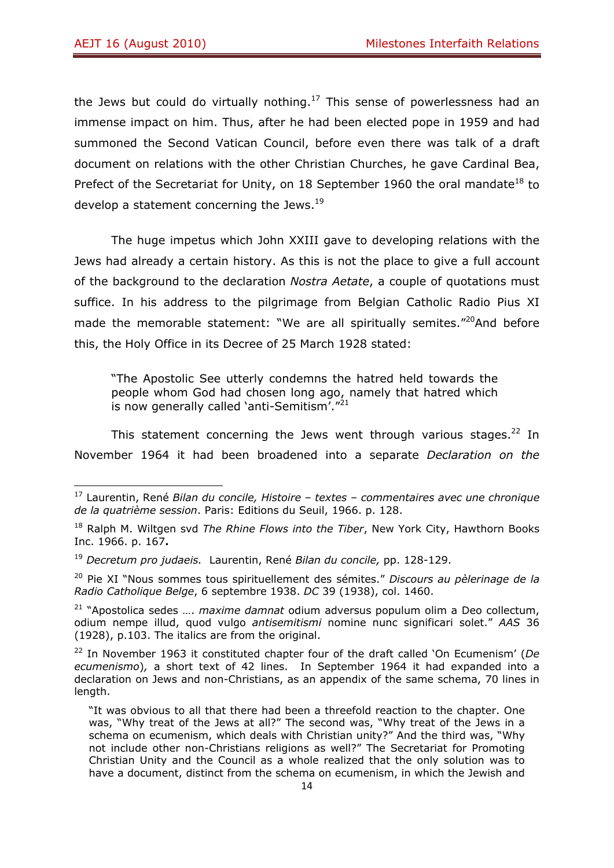the Jews but could do virtually nothing.<sup>17</sup> This sense of powerlessness had an immense impact on him. Thus, after he had been elected pope in 1959 and had summoned the Second Vatican Council, before even there was talk of a draft document on relations with the other Christian Churches, he gave Cardinal Bea, Prefect of the Secretariat for Unity, on 18 September 1960 the oral mandate<sup>18</sup> to develop a statement concerning the Jews.<sup>19</sup>

The huge impetus which John XXIII gave to developing relations with the Jews had already a certain history. As this is not the place to give a full account of the background to the declaration *Nostra Aetate*, a couple of quotations must suffice. In his address to the pilgrimage from Belgian Catholic Radio Pius XI made the memorable statement: "We are all spiritually semites."<sup>20</sup>And before this, the Holy Office in its Decree of 25 March 1928 stated:

"The Apostolic See utterly condemns the hatred held towards the people whom God had chosen long ago, namely that hatred which is now generally called 'anti-Semitism'."<sup>21</sup>

This statement concerning the Jews went through various stages.<sup>22</sup> In November 1964 it had been broadened into a separate *Declaration on the* 

<sup>17</sup> Laurentin, René *Bilan du concile, Histoire – textes – commentaires avec une chronique de la quatrième session*. Paris: Editions du Seuil, 1966. p. 128.

<sup>18</sup> Ralph M. Wiltgen svd *The Rhine Flows into the Tiber*, New York City, Hawthorn Books Inc. 1966. p. 167**.**

<sup>19</sup> *Decretum pro judaeis.* Laurentin, René *Bilan du concile,* pp. 128-129.

<sup>20</sup> Pie XI "Nous sommes tous spirituellement des sémites." *Discours au pèlerinage de la Radio Catholique Belge*, 6 septembre 1938. *DC* 39 (1938), col. 1460.

<sup>21 &</sup>quot;Apostolica sedes …. *maxime damnat* odium adversus populum olim a Deo collectum, odium nempe illud, quod vulgo *antisemitismi* nomine nunc significari solet." *AAS* 36 (1928), p.103. The italics are from the original.

<sup>22</sup> In November 1963 it constituted chapter four of the draft called 'On Ecumenism' (*De ecumenismo*)*,* a short text of 42 lines. In September 1964 it had expanded into a declaration on Jews and non-Christians, as an appendix of the same schema, 70 lines in length.

<sup>&</sup>quot;It was obvious to all that there had been a threefold reaction to the chapter. One was, "Why treat of the Jews at all?" The second was, "Why treat of the Jews in a schema on ecumenism, which deals with Christian unity?" And the third was, "Why not include other non-Christians religions as well?" The Secretariat for Promoting Christian Unity and the Council as a whole realized that the only solution was to have a document, distinct from the schema on ecumenism, in which the Jewish and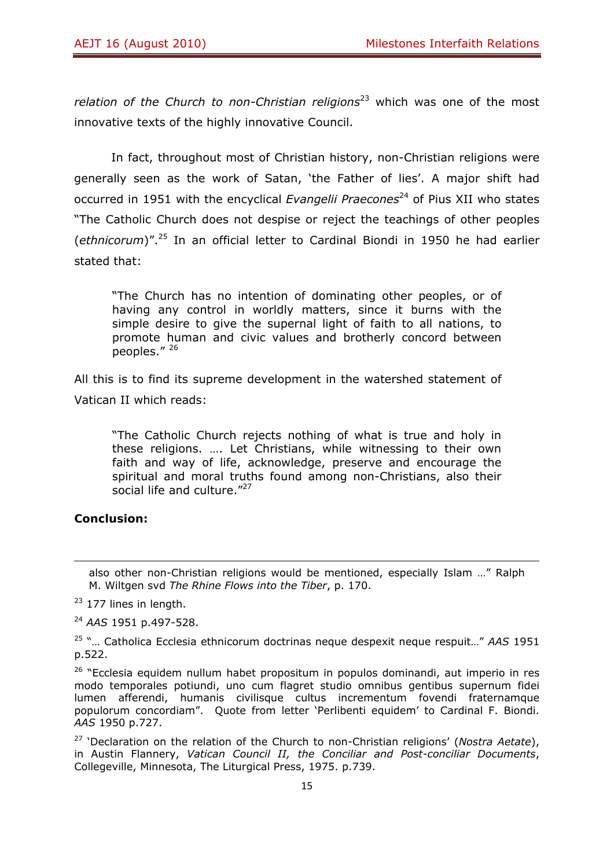*relation of the Church to non-Christian religions*<sup>23</sup> which was one of the most innovative texts of the highly innovative Council.

In fact, throughout most of Christian history, non-Christian religions were generally seen as the work of Satan, 'the Father of lies'. A major shift had occurred in 1951 with the encyclical *Evangelii Praecones*<sup>24</sup> of Pius XII who states "The Catholic Church does not despise or reject the teachings of other peoples (*ethnicorum*)".25 In an official letter to Cardinal Biondi in 1950 he had earlier stated that:

"The Church has no intention of dominating other peoples, or of having any control in worldly matters, since it burns with the simple desire to give the supernal light of faith to all nations, to promote human and civic values and brotherly concord between peoples." 26

All this is to find its supreme development in the watershed statement of Vatican II which reads:

"The Catholic Church rejects nothing of what is true and holy in these religions. …. Let Christians, while witnessing to their own faith and way of life, acknowledge, preserve and encourage the spiritual and moral truths found among non-Christians, also their social life and culture."<sup>27</sup>

#### **Conclusion:**

<sup>24</sup> *AAS* 1951 p.497-528.

<sup>&</sup>lt;u> Andreas Andreas Andreas Andreas Andreas Andreas Andreas Andreas Andreas Andreas Andreas Andreas Andreas Andr</u> also other non-Christian religions would be mentioned, especially Islam …" Ralph M. Wiltgen svd *The Rhine Flows into the Tiber*, p. 170.

 $23$  177 lines in length.

<sup>25 &</sup>quot;… Catholica Ecclesia ethnicorum doctrinas neque despexit neque respuit…" *AAS* 1951 p.522.

 $26$  "Ecclesia equidem nullum habet propositum in populos dominandi, aut imperio in res modo temporales potiundi, uno cum flagret studio omnibus gentibus supernum fidei lumen afferendi, humanis civilisque cultus incrementum fovendi fraternamque populorum concordiam". Quote from letter 'Perlibenti equidem' to Cardinal F. Biondi. *AAS* 1950 p.727.

<sup>27 &#</sup>x27;Declaration on the relation of the Church to non-Christian religions' (*Nostra Aetate*), in Austin Flannery, *Vatican Council II, the Conciliar and Post-conciliar Documents*, Collegeville, Minnesota, The Liturgical Press, 1975. p.739.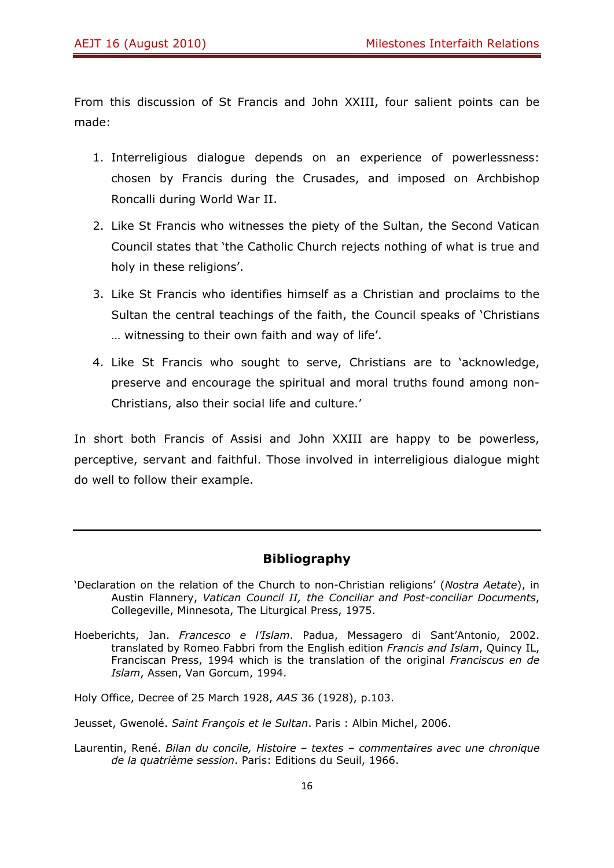From this discussion of St Francis and John XXIII, four salient points can be made:

- 1. Interreligious dialogue depends on an experience of powerlessness: chosen by Francis during the Crusades, and imposed on Archbishop Roncalli during World War II.
- 2. Like St Francis who witnesses the piety of the Sultan, the Second Vatican Council states that 'the Catholic Church rejects nothing of what is true and holy in these religions'.
- 3. Like St Francis who identifies himself as a Christian and proclaims to the Sultan the central teachings of the faith, the Council speaks of 'Christians … witnessing to their own faith and way of life'.
- 4. Like St Francis who sought to serve, Christians are to 'acknowledge, preserve and encourage the spiritual and moral truths found among non-Christians, also their social life and culture.'

In short both Francis of Assisi and John XXIII are happy to be powerless, perceptive, servant and faithful. Those involved in interreligious dialogue might do well to follow their example.

## **Bibliography**

- 'Declaration on the relation of the Church to non-Christian religions' (*Nostra Aetate*), in Austin Flannery, *Vatican Council II, the Conciliar and Post-conciliar Documents*, Collegeville, Minnesota, The Liturgical Press, 1975.
- Hoeberichts, Jan. *Francesco e l'Islam*. Padua, Messagero di Sant'Antonio, 2002. translated by Romeo Fabbri from the English edition *Francis and Islam*, Quincy IL, Franciscan Press, 1994 which is the translation of the original *Franciscus en de Islam*, Assen, Van Gorcum, 1994.

Holy Office, Decree of 25 March 1928, *AAS* 36 (1928), p.103.

Jeusset, Gwenolé. *Saint François et le Sultan*. Paris : Albin Michel, 2006.

Laurentin, René. *Bilan du concile, Histoire – textes – commentaires avec une chronique de la quatrième session*. Paris: Editions du Seuil, 1966.